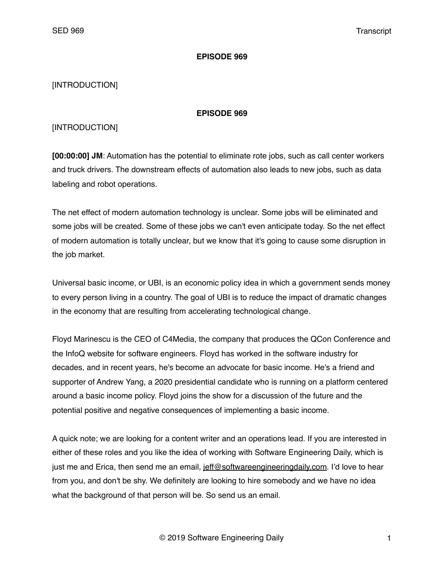#### **EPISODE 969**

# [INTRODUCTION]

#### **EPISODE 969**

# [INTRODUCTION]

**[00:00:00] JM**: Automation has the potential to eliminate rote jobs, such as call center workers and truck drivers. The downstream effects of automation also leads to new jobs, such as data labeling and robot operations.

The net effect of modern automation technology is unclear. Some jobs will be eliminated and some jobs will be created. Some of these jobs we can't even anticipate today. So the net effect of modern automation is totally unclear, but we know that it's going to cause some disruption in the job market.

Universal basic income, or UBI, is an economic policy idea in which a government sends money to every person living in a country. The goal of UBI is to reduce the impact of dramatic changes in the economy that are resulting from accelerating technological change.

Floyd Marinescu is the CEO of C4Media, the company that produces the QCon Conference and the InfoQ website for software engineers. Floyd has worked in the software industry for decades, and in recent years, he's become an advocate for basic income. He's a friend and supporter of Andrew Yang, a 2020 presidential candidate who is running on a platform centered around a basic income policy. Floyd joins the show for a discussion of the future and the potential positive and negative consequences of implementing a basic income.

A quick note; we are looking for a content writer and an operations lead. If you are interested in either of these roles and you like the idea of working with Software Engineering Daily, which is just me and Erica, then send me an email, [jeff@softwareengineeringdaily.com.](mailto:jeff@softwareengineeringdaily.com) I'd love to hear from you, and don't be shy. We definitely are looking to hire somebody and we have no idea what the background of that person will be. So send us an email.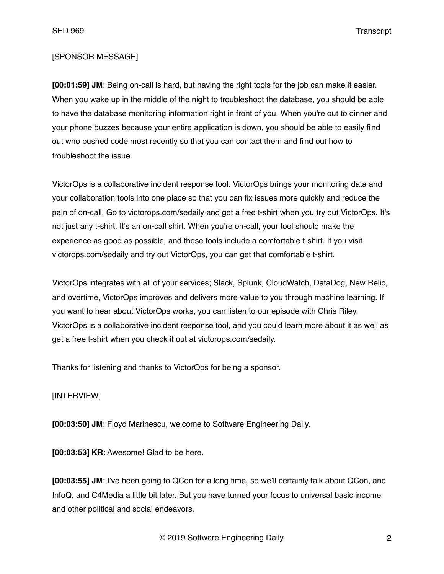#### [SPONSOR MESSAGE]

**[00:01:59] JM**: Being on-call is hard, but having the right tools for the job can make it easier. When you wake up in the middle of the night to troubleshoot the database, you should be able to have the database monitoring information right in front of you. When you're out to dinner and your phone buzzes because your entire application is down, you should be able to easily find out who pushed code most recently so that you can contact them and find out how to troubleshoot the issue.

VictorOps is a collaborative incident response tool. VictorOps brings your monitoring data and your collaboration tools into one place so that you can fix issues more quickly and reduce the pain of on-call. Go to victorops.com/sedaily and get a free t-shirt when you try out VictorOps. It's not just any t-shirt. It's an on-call shirt. When you're on-call, your tool should make the experience as good as possible, and these tools include a comfortable t-shirt. If you visit victorops.com/sedaily and try out VictorOps, you can get that comfortable t-shirt.

VictorOps integrates with all of your services; Slack, Splunk, CloudWatch, DataDog, New Relic, and overtime, VictorOps improves and delivers more value to you through machine learning. If you want to hear about VictorOps works, you can listen to our episode with Chris Riley. VictorOps is a collaborative incident response tool, and you could learn more about it as well as get a free t-shirt when you check it out at victorops.com/sedaily.

Thanks for listening and thanks to VictorOps for being a sponsor.

## [INTERVIEW]

**[00:03:50] JM**: Floyd Marinescu, welcome to Software Engineering Daily.

**[00:03:53] KR**: Awesome! Glad to be here.

**[00:03:55] JM**: I've been going to QCon for a long time, so we'll certainly talk about QCon, and InfoQ, and C4Media a little bit later. But you have turned your focus to universal basic income and other political and social endeavors.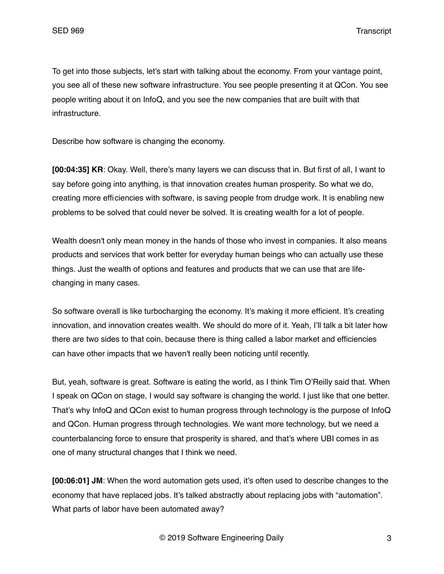To get into those subjects, let's start with talking about the economy. From your vantage point, you see all of these new software infrastructure. You see people presenting it at QCon. You see people writing about it on InfoQ, and you see the new companies that are built with that infrastructure.

Describe how software is changing the economy.

**[00:04:35] KR**: Okay. Well, there's many layers we can discuss that in. But first of all, I want to say before going into anything, is that innovation creates human prosperity. So what we do, creating more efficiencies with software, is saving people from drudge work. It is enabling new problems to be solved that could never be solved. It is creating wealth for a lot of people.

Wealth doesn't only mean money in the hands of those who invest in companies. It also means products and services that work better for everyday human beings who can actually use these things. Just the wealth of options and features and products that we can use that are lifechanging in many cases.

So software overall is like turbocharging the economy. It's making it more efficient. It's creating innovation, and innovation creates wealth. We should do more of it. Yeah, I'll talk a bit later how there are two sides to that coin, because there is thing called a labor market and efficiencies can have other impacts that we haven't really been noticing until recently.

But, yeah, software is great. Software is eating the world, as I think Tim O'Reilly said that. When I speak on QCon on stage, I would say software is changing the world. I just like that one better. That's why InfoQ and QCon exist to human progress through technology is the purpose of InfoQ and QCon. Human progress through technologies. We want more technology, but we need a counterbalancing force to ensure that prosperity is shared, and that's where UBI comes in as one of many structural changes that I think we need.

**[00:06:01] JM**: When the word automation gets used, it's often used to describe changes to the economy that have replaced jobs. It's talked abstractly about replacing jobs with "automation". What parts of labor have been automated away?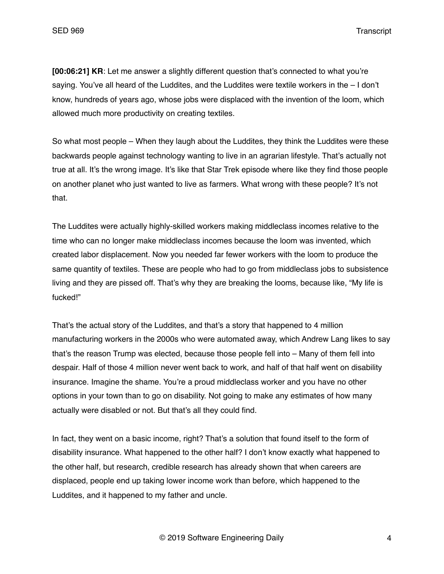**[00:06:21] KR**: Let me answer a slightly different question that's connected to what you're saying. You've all heard of the Luddites, and the Luddites were textile workers in the – I don't know, hundreds of years ago, whose jobs were displaced with the invention of the loom, which allowed much more productivity on creating textiles.

So what most people – When they laugh about the Luddites, they think the Luddites were these backwards people against technology wanting to live in an agrarian lifestyle. That's actually not true at all. It's the wrong image. It's like that Star Trek episode where like they find those people on another planet who just wanted to live as farmers. What wrong with these people? It's not that.

The Luddites were actually highly-skilled workers making middleclass incomes relative to the time who can no longer make middleclass incomes because the loom was invented, which created labor displacement. Now you needed far fewer workers with the loom to produce the same quantity of textiles. These are people who had to go from middleclass jobs to subsistence living and they are pissed off. That's why they are breaking the looms, because like, "My life is fucked!"

That's the actual story of the Luddites, and that's a story that happened to 4 million manufacturing workers in the 2000s who were automated away, which Andrew Lang likes to say that's the reason Trump was elected, because those people fell into – Many of them fell into despair. Half of those 4 million never went back to work, and half of that half went on disability insurance. Imagine the shame. You're a proud middleclass worker and you have no other options in your town than to go on disability. Not going to make any estimates of how many actually were disabled or not. But that's all they could find.

In fact, they went on a basic income, right? That's a solution that found itself to the form of disability insurance. What happened to the other half? I don't know exactly what happened to the other half, but research, credible research has already shown that when careers are displaced, people end up taking lower income work than before, which happened to the Luddites, and it happened to my father and uncle.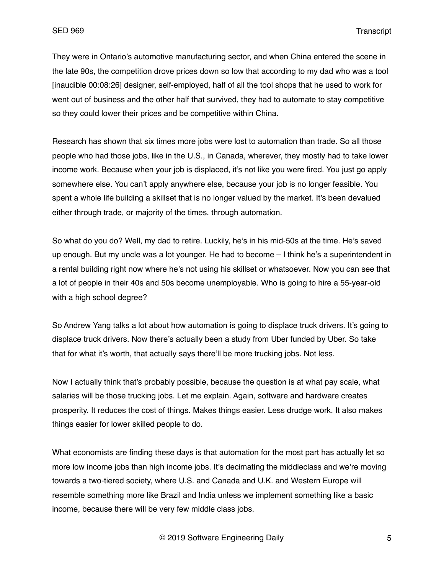They were in Ontario's automotive manufacturing sector, and when China entered the scene in the late 90s, the competition drove prices down so low that according to my dad who was a tool [inaudible 00:08:26] designer, self-employed, half of all the tool shops that he used to work for went out of business and the other half that survived, they had to automate to stay competitive so they could lower their prices and be competitive within China.

Research has shown that six times more jobs were lost to automation than trade. So all those people who had those jobs, like in the U.S., in Canada, wherever, they mostly had to take lower income work. Because when your job is displaced, it's not like you were fired. You just go apply somewhere else. You can't apply anywhere else, because your job is no longer feasible. You spent a whole life building a skillset that is no longer valued by the market. It's been devalued either through trade, or majority of the times, through automation.

So what do you do? Well, my dad to retire. Luckily, he's in his mid-50s at the time. He's saved up enough. But my uncle was a lot younger. He had to become – I think he's a superintendent in a rental building right now where he's not using his skillset or whatsoever. Now you can see that a lot of people in their 40s and 50s become unemployable. Who is going to hire a 55-year-old with a high school degree?

So Andrew Yang talks a lot about how automation is going to displace truck drivers. It's going to displace truck drivers. Now there's actually been a study from Uber funded by Uber. So take that for what it's worth, that actually says there'll be more trucking jobs. Not less.

Now I actually think that's probably possible, because the question is at what pay scale, what salaries will be those trucking jobs. Let me explain. Again, software and hardware creates prosperity. It reduces the cost of things. Makes things easier. Less drudge work. It also makes things easier for lower skilled people to do.

What economists are finding these days is that automation for the most part has actually let so more low income jobs than high income jobs. It's decimating the middleclass and we're moving towards a two-tiered society, where U.S. and Canada and U.K. and Western Europe will resemble something more like Brazil and India unless we implement something like a basic income, because there will be very few middle class jobs.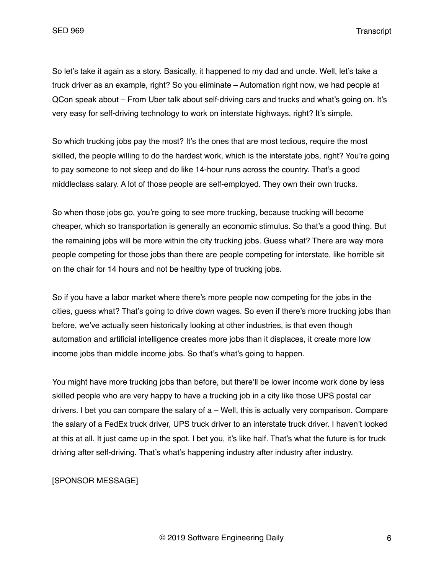So let's take it again as a story. Basically, it happened to my dad and uncle. Well, let's take a truck driver as an example, right? So you eliminate – Automation right now, we had people at QCon speak about – From Uber talk about self-driving cars and trucks and what's going on. It's very easy for self-driving technology to work on interstate highways, right? It's simple.

So which trucking jobs pay the most? It's the ones that are most tedious, require the most skilled, the people willing to do the hardest work, which is the interstate jobs, right? You're going to pay someone to not sleep and do like 14-hour runs across the country. That's a good middleclass salary. A lot of those people are self-employed. They own their own trucks.

So when those jobs go, you're going to see more trucking, because trucking will become cheaper, which so transportation is generally an economic stimulus. So that's a good thing. But the remaining jobs will be more within the city trucking jobs. Guess what? There are way more people competing for those jobs than there are people competing for interstate, like horrible sit on the chair for 14 hours and not be healthy type of trucking jobs.

So if you have a labor market where there's more people now competing for the jobs in the cities, guess what? That's going to drive down wages. So even if there's more trucking jobs than before, we've actually seen historically looking at other industries, is that even though automation and artificial intelligence creates more jobs than it displaces, it create more low income jobs than middle income jobs. So that's what's going to happen.

You might have more trucking jobs than before, but there'll be lower income work done by less skilled people who are very happy to have a trucking job in a city like those UPS postal car drivers. I bet you can compare the salary of  $a - Well$ , this is actually very comparison. Compare the salary of a FedEx truck driver, UPS truck driver to an interstate truck driver. I haven't looked at this at all. It just came up in the spot. I bet you, it's like half. That's what the future is for truck driving after self-driving. That's what's happening industry after industry after industry.

## [SPONSOR MESSAGE]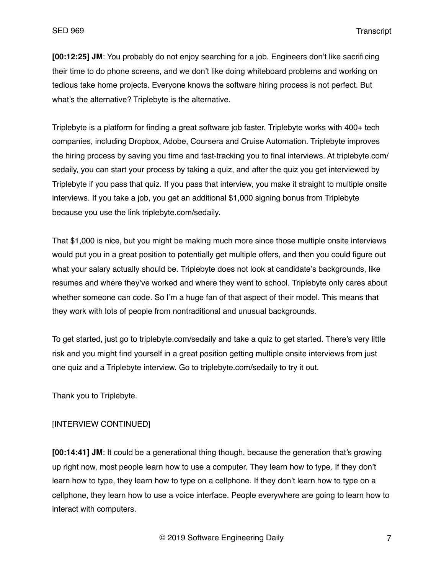**[00:12:25] JM**: You probably do not enjoy searching for a job. Engineers don't like sacrificing their time to do phone screens, and we don't like doing whiteboard problems and working on tedious take home projects. Everyone knows the software hiring process is not perfect. But what's the alternative? Triplebyte is the alternative.

Triplebyte is a platform for finding a great software job faster. Triplebyte works with 400+ tech companies, including Dropbox, Adobe, Coursera and Cruise Automation. Triplebyte improves the hiring process by saving you time and fast-tracking you to final interviews. At triplebyte.com/ sedaily, you can start your process by taking a quiz, and after the quiz you get interviewed by Triplebyte if you pass that quiz. If you pass that interview, you make it straight to multiple onsite interviews. If you take a job, you get an additional \$1,000 signing bonus from Triplebyte because you use the link triplebyte.com/sedaily.

That \$1,000 is nice, but you might be making much more since those multiple onsite interviews would put you in a great position to potentially get multiple offers, and then you could figure out what your salary actually should be. Triplebyte does not look at candidate's backgrounds, like resumes and where they've worked and where they went to school. Triplebyte only cares about whether someone can code. So I'm a huge fan of that aspect of their model. This means that they work with lots of people from nontraditional and unusual backgrounds.

To get started, just go to triplebyte.com/sedaily and take a quiz to get started. There's very little risk and you might find yourself in a great position getting multiple onsite interviews from just one quiz and a Triplebyte interview. Go to triplebyte.com/sedaily to try it out.

Thank you to Triplebyte.

# [INTERVIEW CONTINUED]

**[00:14:41] JM**: It could be a generational thing though, because the generation that's growing up right now, most people learn how to use a computer. They learn how to type. If they don't learn how to type, they learn how to type on a cellphone. If they don't learn how to type on a cellphone, they learn how to use a voice interface. People everywhere are going to learn how to interact with computers.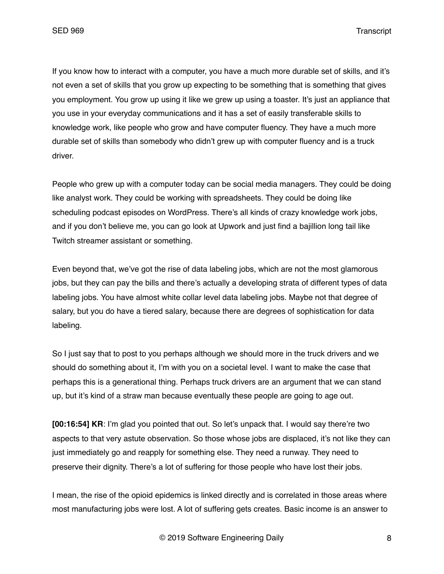If you know how to interact with a computer, you have a much more durable set of skills, and it's not even a set of skills that you grow up expecting to be something that is something that gives you employment. You grow up using it like we grew up using a toaster. It's just an appliance that you use in your everyday communications and it has a set of easily transferable skills to knowledge work, like people who grow and have computer fluency. They have a much more durable set of skills than somebody who didn't grew up with computer fluency and is a truck driver.

People who grew up with a computer today can be social media managers. They could be doing like analyst work. They could be working with spreadsheets. They could be doing like scheduling podcast episodes on WordPress. There's all kinds of crazy knowledge work jobs, and if you don't believe me, you can go look at Upwork and just find a bajillion long tail like Twitch streamer assistant or something.

Even beyond that, we've got the rise of data labeling jobs, which are not the most glamorous jobs, but they can pay the bills and there's actually a developing strata of different types of data labeling jobs. You have almost white collar level data labeling jobs. Maybe not that degree of salary, but you do have a tiered salary, because there are degrees of sophistication for data labeling.

So I just say that to post to you perhaps although we should more in the truck drivers and we should do something about it, I'm with you on a societal level. I want to make the case that perhaps this is a generational thing. Perhaps truck drivers are an argument that we can stand up, but it's kind of a straw man because eventually these people are going to age out.

**[00:16:54] KR:** I'm glad you pointed that out. So let's unpack that. I would say there're two aspects to that very astute observation. So those whose jobs are displaced, it's not like they can just immediately go and reapply for something else. They need a runway. They need to preserve their dignity. There's a lot of suffering for those people who have lost their jobs.

I mean, the rise of the opioid epidemics is linked directly and is correlated in those areas where most manufacturing jobs were lost. A lot of suffering gets creates. Basic income is an answer to

© 2019 Software Engineering Daily 8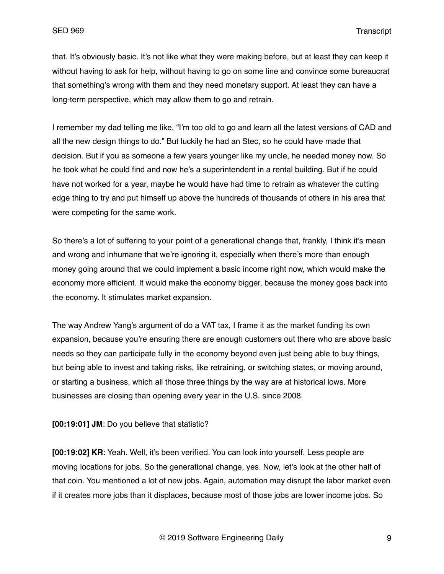that. It's obviously basic. It's not like what they were making before, but at least they can keep it without having to ask for help, without having to go on some line and convince some bureaucrat that something's wrong with them and they need monetary support. At least they can have a long-term perspective, which may allow them to go and retrain.

I remember my dad telling me like, "I'm too old to go and learn all the latest versions of CAD and all the new design things to do." But luckily he had an Stec, so he could have made that decision. But if you as someone a few years younger like my uncle, he needed money now. So he took what he could find and now he's a superintendent in a rental building. But if he could have not worked for a year, maybe he would have had time to retrain as whatever the cutting edge thing to try and put himself up above the hundreds of thousands of others in his area that were competing for the same work.

So there's a lot of suffering to your point of a generational change that, frankly, I think it's mean and wrong and inhumane that we're ignoring it, especially when there's more than enough money going around that we could implement a basic income right now, which would make the economy more efficient. It would make the economy bigger, because the money goes back into the economy. It stimulates market expansion.

The way Andrew Yang's argument of do a VAT tax, I frame it as the market funding its own expansion, because you're ensuring there are enough customers out there who are above basic needs so they can participate fully in the economy beyond even just being able to buy things, but being able to invest and taking risks, like retraining, or switching states, or moving around, or starting a business, which all those three things by the way are at historical lows. More businesses are closing than opening every year in the U.S. since 2008.

**[00:19:01] JM**: Do you believe that statistic?

**[00:19:02] KR**: Yeah. Well, it's been verified. You can look into yourself. Less people are moving locations for jobs. So the generational change, yes. Now, let's look at the other half of that coin. You mentioned a lot of new jobs. Again, automation may disrupt the labor market even if it creates more jobs than it displaces, because most of those jobs are lower income jobs. So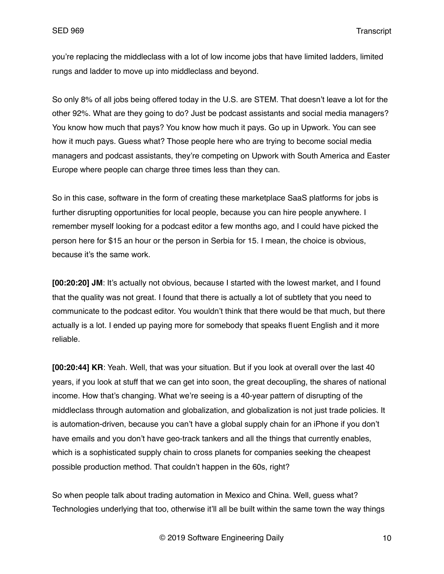you're replacing the middleclass with a lot of low income jobs that have limited ladders, limited rungs and ladder to move up into middleclass and beyond.

So only 8% of all jobs being offered today in the U.S. are STEM. That doesn't leave a lot for the other 92%. What are they going to do? Just be podcast assistants and social media managers? You know how much that pays? You know how much it pays. Go up in Upwork. You can see how it much pays. Guess what? Those people here who are trying to become social media managers and podcast assistants, they're competing on Upwork with South America and Easter Europe where people can charge three times less than they can.

So in this case, software in the form of creating these marketplace SaaS platforms for jobs is further disrupting opportunities for local people, because you can hire people anywhere. I remember myself looking for a podcast editor a few months ago, and I could have picked the person here for \$15 an hour or the person in Serbia for 15. I mean, the choice is obvious, because it's the same work.

**[00:20:20] JM**: It's actually not obvious, because I started with the lowest market, and I found that the quality was not great. I found that there is actually a lot of subtlety that you need to communicate to the podcast editor. You wouldn't think that there would be that much, but there actually is a lot. I ended up paying more for somebody that speaks fluent English and it more reliable.

**[00:20:44] KR**: Yeah. Well, that was your situation. But if you look at overall over the last 40 years, if you look at stuff that we can get into soon, the great decoupling, the shares of national income. How that's changing. What we're seeing is a 40-year pattern of disrupting of the middleclass through automation and globalization, and globalization is not just trade policies. It is automation-driven, because you can't have a global supply chain for an iPhone if you don't have emails and you don't have geo-track tankers and all the things that currently enables, which is a sophisticated supply chain to cross planets for companies seeking the cheapest possible production method. That couldn't happen in the 60s, right?

So when people talk about trading automation in Mexico and China. Well, guess what? Technologies underlying that too, otherwise it'll all be built within the same town the way things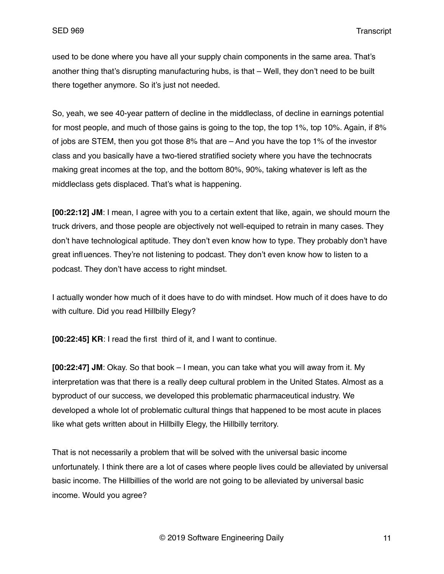used to be done where you have all your supply chain components in the same area. That's another thing that's disrupting manufacturing hubs, is that – Well, they don't need to be built there together anymore. So it's just not needed.

So, yeah, we see 40-year pattern of decline in the middleclass, of decline in earnings potential for most people, and much of those gains is going to the top, the top 1%, top 10%. Again, if 8% of jobs are STEM, then you got those 8% that are – And you have the top 1% of the investor class and you basically have a two-tiered stratified society where you have the technocrats making great incomes at the top, and the bottom 80%, 90%, taking whatever is left as the middleclass gets displaced. That's what is happening.

**[00:22:12] JM**: I mean, I agree with you to a certain extent that like, again, we should mourn the truck drivers, and those people are objectively not well-equiped to retrain in many cases. They don't have technological aptitude. They don't even know how to type. They probably don't have great influences. They're not listening to podcast. They don't even know how to listen to a podcast. They don't have access to right mindset.

I actually wonder how much of it does have to do with mindset. How much of it does have to do with culture. Did you read Hillbilly Elegy?

**[00:22:45] KR**: I read the first third of it, and I want to continue.

**[00:22:47] JM**: Okay. So that book – I mean, you can take what you will away from it. My interpretation was that there is a really deep cultural problem in the United States. Almost as a byproduct of our success, we developed this problematic pharmaceutical industry. We developed a whole lot of problematic cultural things that happened to be most acute in places like what gets written about in Hillbilly Elegy, the Hillbilly territory.

That is not necessarily a problem that will be solved with the universal basic income unfortunately. I think there are a lot of cases where people lives could be alleviated by universal basic income. The Hillbillies of the world are not going to be alleviated by universal basic income. Would you agree?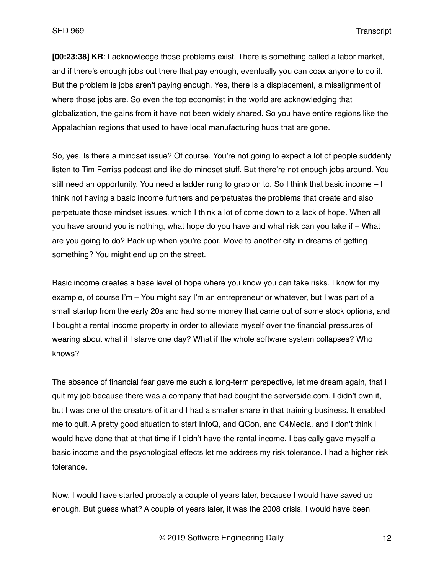**[00:23:38] KR**: I acknowledge those problems exist. There is something called a labor market, and if there's enough jobs out there that pay enough, eventually you can coax anyone to do it. But the problem is jobs aren't paying enough. Yes, there is a displacement, a misalignment of where those jobs are. So even the top economist in the world are acknowledging that globalization, the gains from it have not been widely shared. So you have entire regions like the Appalachian regions that used to have local manufacturing hubs that are gone.

So, yes. Is there a mindset issue? Of course. You're not going to expect a lot of people suddenly listen to Tim Ferriss podcast and like do mindset stuff. But there're not enough jobs around. You still need an opportunity. You need a ladder rung to grab on to. So I think that basic income – I think not having a basic income furthers and perpetuates the problems that create and also perpetuate those mindset issues, which I think a lot of come down to a lack of hope. When all you have around you is nothing, what hope do you have and what risk can you take if – What are you going to do? Pack up when you're poor. Move to another city in dreams of getting something? You might end up on the street.

Basic income creates a base level of hope where you know you can take risks. I know for my example, of course I'm – You might say I'm an entrepreneur or whatever, but I was part of a small startup from the early 20s and had some money that came out of some stock options, and I bought a rental income property in order to alleviate myself over the financial pressures of wearing about what if I starve one day? What if the whole software system collapses? Who knows?

The absence of financial fear gave me such a long-term perspective, let me dream again, that I quit my job because there was a company that had bought the serverside.com. I didn't own it, but I was one of the creators of it and I had a smaller share in that training business. It enabled me to quit. A pretty good situation to start InfoQ, and QCon, and C4Media, and I don't think I would have done that at that time if I didn't have the rental income. I basically gave myself a basic income and the psychological effects let me address my risk tolerance. I had a higher risk tolerance.

Now, I would have started probably a couple of years later, because I would have saved up enough. But guess what? A couple of years later, it was the 2008 crisis. I would have been

© 2019 Software Engineering Daily 12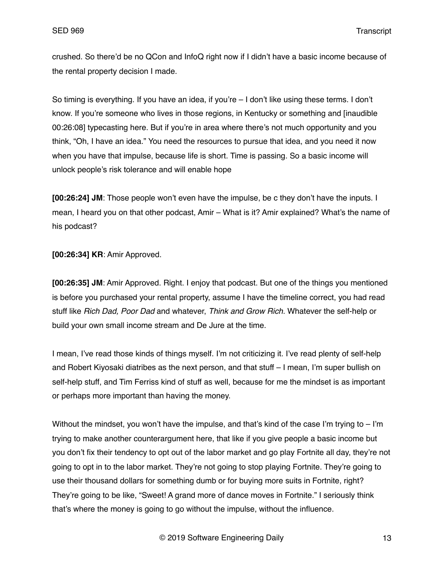crushed. So there'd be no QCon and InfoQ right now if I didn't have a basic income because of the rental property decision I made.

So timing is everything. If you have an idea, if you're – I don't like using these terms. I don't know. If you're someone who lives in those regions, in Kentucky or something and [inaudible 00:26:08] typecasting here. But if you're in area where there's not much opportunity and you think, "Oh, I have an idea." You need the resources to pursue that idea, and you need it now when you have that impulse, because life is short. Time is passing. So a basic income will unlock people's risk tolerance and will enable hope

**[00:26:24] JM**: Those people won't even have the impulse, be c they don't have the inputs. I mean, I heard you on that other podcast, Amir – What is it? Amir explained? What's the name of his podcast?

**[00:26:34] KR**: Amir Approved.

**[00:26:35] JM**: Amir Approved. Right. I enjoy that podcast. But one of the things you mentioned is before you purchased your rental property, assume I have the timeline correct, you had read stuff like *Rich Dad, Poor Dad* and whatever, *Think and Grow Rich.* Whatever the self-help or build your own small income stream and De Jure at the time.

I mean, I've read those kinds of things myself. I'm not criticizing it. I've read plenty of self-help and Robert Kiyosaki diatribes as the next person, and that stuff – I mean, I'm super bullish on self-help stuff, and Tim Ferriss kind of stuff as well, because for me the mindset is as important or perhaps more important than having the money.

Without the mindset, you won't have the impulse, and that's kind of the case I'm trying to  $-1<sup>'</sup>m$ trying to make another counterargument here, that like if you give people a basic income but you don't fix their tendency to opt out of the labor market and go play Fortnite all day, they're not going to opt in to the labor market. They're not going to stop playing Fortnite. They're going to use their thousand dollars for something dumb or for buying more suits in Fortnite, right? They're going to be like, "Sweet! A grand more of dance moves in Fortnite." I seriously think that's where the money is going to go without the impulse, without the influence.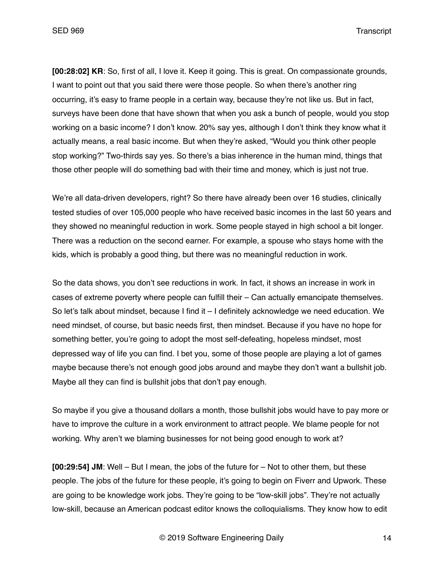**[00:28:02] KR**: So, first of all, I love it. Keep it going. This is great. On compassionate grounds, I want to point out that you said there were those people. So when there's another ring occurring, it's easy to frame people in a certain way, because they're not like us. But in fact, surveys have been done that have shown that when you ask a bunch of people, would you stop working on a basic income? I don't know. 20% say yes, although I don't think they know what it actually means, a real basic income. But when they're asked, "Would you think other people stop working?" Two-thirds say yes. So there's a bias inherence in the human mind, things that those other people will do something bad with their time and money, which is just not true.

We're all data-driven developers, right? So there have already been over 16 studies, clinically tested studies of over 105,000 people who have received basic incomes in the last 50 years and they showed no meaningful reduction in work. Some people stayed in high school a bit longer. There was a reduction on the second earner. For example, a spouse who stays home with the kids, which is probably a good thing, but there was no meaningful reduction in work.

So the data shows, you don't see reductions in work. In fact, it shows an increase in work in cases of extreme poverty where people can fulfill their – Can actually emancipate themselves. So let's talk about mindset, because I find it – I definitely acknowledge we need education. We need mindset, of course, but basic needs first, then mindset. Because if you have no hope for something better, you're going to adopt the most self-defeating, hopeless mindset, most depressed way of life you can find. I bet you, some of those people are playing a lot of games maybe because there's not enough good jobs around and maybe they don't want a bullshit job. Maybe all they can find is bullshit jobs that don't pay enough.

So maybe if you give a thousand dollars a month, those bullshit jobs would have to pay more or have to improve the culture in a work environment to attract people. We blame people for not working. Why aren't we blaming businesses for not being good enough to work at?

**[00:29:54] JM**: Well – But I mean, the jobs of the future for – Not to other them, but these people. The jobs of the future for these people, it's going to begin on Fiverr and Upwork. These are going to be knowledge work jobs. They're going to be "low-skill jobs". They're not actually low-skill, because an American podcast editor knows the colloquialisms. They know how to edit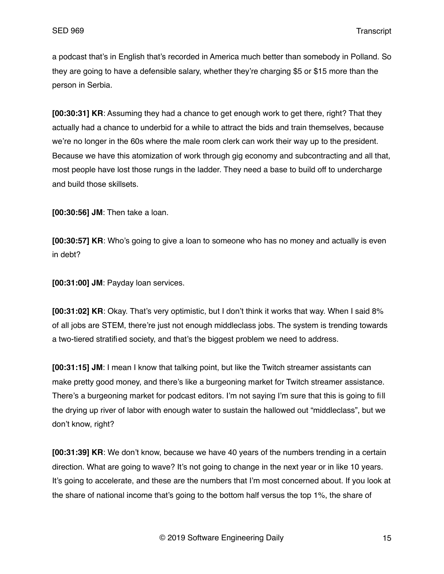a podcast that's in English that's recorded in America much better than somebody in Polland. So they are going to have a defensible salary, whether they're charging \$5 or \$15 more than the person in Serbia.

**[00:30:31] KR**: Assuming they had a chance to get enough work to get there, right? That they actually had a chance to underbid for a while to attract the bids and train themselves, because we're no longer in the 60s where the male room clerk can work their way up to the president. Because we have this atomization of work through gig economy and subcontracting and all that, most people have lost those rungs in the ladder. They need a base to build off to undercharge and build those skillsets.

**[00:30:56] JM**: Then take a loan.

**[00:30:57] KR**: Who's going to give a loan to someone who has no money and actually is even in debt?

**[00:31:00] JM**: Payday loan services.

**[00:31:02] KR**: Okay. That's very optimistic, but I don't think it works that way. When I said 8% of all jobs are STEM, there're just not enough middleclass jobs. The system is trending towards a two-tiered stratified society, and that's the biggest problem we need to address.

**[00:31:15] JM**: I mean I know that talking point, but like the Twitch streamer assistants can make pretty good money, and there's like a burgeoning market for Twitch streamer assistance. There's a burgeoning market for podcast editors. I'm not saying I'm sure that this is going to fill the drying up river of labor with enough water to sustain the hallowed out "middleclass", but we don't know, right?

**[00:31:39] KR**: We don't know, because we have 40 years of the numbers trending in a certain direction. What are going to wave? It's not going to change in the next year or in like 10 years. It's going to accelerate, and these are the numbers that I'm most concerned about. If you look at the share of national income that's going to the bottom half versus the top 1%, the share of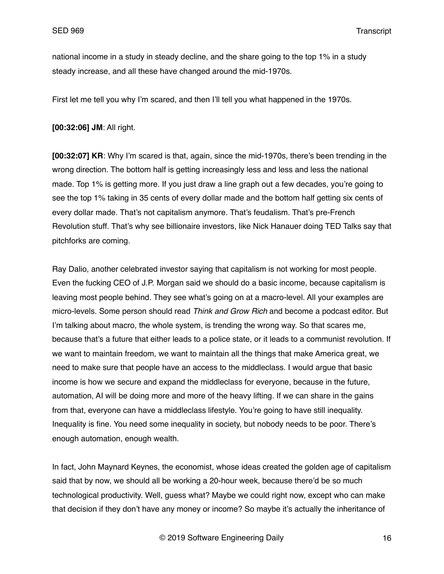national income in a study in steady decline, and the share going to the top 1% in a study steady increase, and all these have changed around the mid-1970s.

First let me tell you why I'm scared, and then I'll tell you what happened in the 1970s.

**[00:32:06] JM**: All right.

**[00:32:07] KR**: Why I'm scared is that, again, since the mid-1970s, there's been trending in the wrong direction. The bottom half is getting increasingly less and less and less the national made. Top 1% is getting more. If you just draw a line graph out a few decades, you're going to see the top 1% taking in 35 cents of every dollar made and the bottom half getting six cents of every dollar made. That's not capitalism anymore. That's feudalism. That's pre-French Revolution stuff. That's why see billionaire investors, like Nick Hanauer doing TED Talks say that pitchforks are coming.

Ray Dalio, another celebrated investor saying that capitalism is not working for most people. Even the fucking CEO of J.P. Morgan said we should do a basic income, because capitalism is leaving most people behind. They see what's going on at a macro-level. All your examples are micro-levels. Some person should read *Think and Grow Rich* and become a podcast editor. But I'm talking about macro, the whole system, is trending the wrong way. So that scares me, because that's a future that either leads to a police state, or it leads to a communist revolution. If we want to maintain freedom, we want to maintain all the things that make America great, we need to make sure that people have an access to the middleclass. I would argue that basic income is how we secure and expand the middleclass for everyone, because in the future, automation, AI will be doing more and more of the heavy lifting. If we can share in the gains from that, everyone can have a middleclass lifestyle. You're going to have still inequality. Inequality is fine. You need some inequality in society, but nobody needs to be poor. There's enough automation, enough wealth.

In fact, John Maynard Keynes, the economist, whose ideas created the golden age of capitalism said that by now, we should all be working a 20-hour week, because there'd be so much technological productivity. Well, guess what? Maybe we could right now, except who can make that decision if they don't have any money or income? So maybe it's actually the inheritance of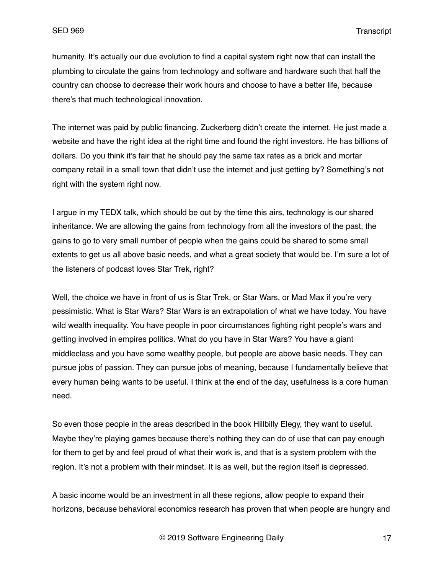humanity. It's actually our due evolution to find a capital system right now that can install the plumbing to circulate the gains from technology and software and hardware such that half the country can choose to decrease their work hours and choose to have a better life, because there's that much technological innovation.

The internet was paid by public financing. Zuckerberg didn't create the internet. He just made a website and have the right idea at the right time and found the right investors. He has billions of dollars. Do you think it's fair that he should pay the same tax rates as a brick and mortar company retail in a small town that didn't use the internet and just getting by? Something's not right with the system right now.

I argue in my TEDX talk, which should be out by the time this airs, technology is our shared inheritance. We are allowing the gains from technology from all the investors of the past, the gains to go to very small number of people when the gains could be shared to some small extents to get us all above basic needs, and what a great society that would be. I'm sure a lot of the listeners of podcast loves Star Trek, right?

Well, the choice we have in front of us is Star Trek, or Star Wars, or Mad Max if you're very pessimistic. What is Star Wars? Star Wars is an extrapolation of what we have today. You have wild wealth inequality. You have people in poor circumstances fighting right people's wars and getting involved in empires politics. What do you have in Star Wars? You have a giant middleclass and you have some wealthy people, but people are above basic needs. They can pursue jobs of passion. They can pursue jobs of meaning, because I fundamentally believe that every human being wants to be useful. I think at the end of the day, usefulness is a core human need.

So even those people in the areas described in the book Hillbilly Elegy, they want to useful. Maybe they're playing games because there's nothing they can do of use that can pay enough for them to get by and feel proud of what their work is, and that is a system problem with the region. It's not a problem with their mindset. It is as well, but the region itself is depressed.

A basic income would be an investment in all these regions, allow people to expand their horizons, because behavioral economics research has proven that when people are hungry and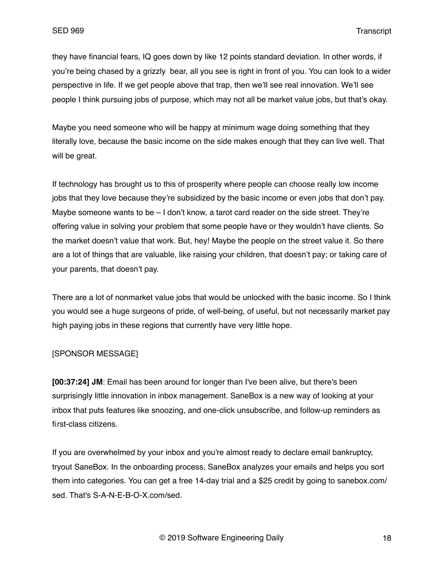they have financial fears, IQ goes down by like 12 points standard deviation. In other words, if you're being chased by a grizzly bear, all you see is right in front of you. You can look to a wider perspective in life. If we get people above that trap, then we'll see real innovation. We'll see people I think pursuing jobs of purpose, which may not all be market value jobs, but that's okay.

Maybe you need someone who will be happy at minimum wage doing something that they literally love, because the basic income on the side makes enough that they can live well. That will be great.

If technology has brought us to this of prosperity where people can choose really low income jobs that they love because they're subsidized by the basic income or even jobs that don't pay. Maybe someone wants to be  $-1$  don't know, a tarot card reader on the side street. They're offering value in solving your problem that some people have or they wouldn't have clients. So the market doesn't value that work. But, hey! Maybe the people on the street value it. So there are a lot of things that are valuable, like raising your children, that doesn't pay; or taking care of your parents, that doesn't pay.

There are a lot of nonmarket value jobs that would be unlocked with the basic income. So I think you would see a huge surgeons of pride, of well-being, of useful, but not necessarily market pay high paying jobs in these regions that currently have very little hope.

## [SPONSOR MESSAGE]

**[00:37:24] JM**: Email has been around for longer than I've been alive, but there's been surprisingly little innovation in inbox management. SaneBox is a new way of looking at your inbox that puts features like snoozing, and one-click unsubscribe, and follow-up reminders as first-class citizens.

If you are overwhelmed by your inbox and you're almost ready to declare email bankruptcy, tryout SaneBox. In the onboarding process, SaneBox analyzes your emails and helps you sort them into categories. You can get a free 14-day trial and a \$25 credit by going to sanebox.com/ sed. That's S-A-N-E-B-O-X.com/sed.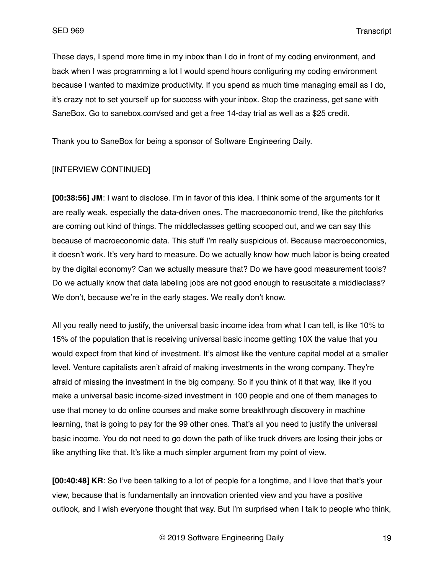These days, I spend more time in my inbox than I do in front of my coding environment, and back when I was programming a lot I would spend hours configuring my coding environment because I wanted to maximize productivity. If you spend as much time managing email as I do, it's crazy not to set yourself up for success with your inbox. Stop the craziness, get sane with SaneBox. Go to sanebox.com/sed and get a free 14-day trial as well as a \$25 credit.

Thank you to SaneBox for being a sponsor of Software Engineering Daily.

#### [INTERVIEW CONTINUED]

**[00:38:56] JM**: I want to disclose. I'm in favor of this idea. I think some of the arguments for it are really weak, especially the data-driven ones. The macroeconomic trend, like the pitchforks are coming out kind of things. The middleclasses getting scooped out, and we can say this because of macroeconomic data. This stuff I'm really suspicious of. Because macroeconomics, it doesn't work. It's very hard to measure. Do we actually know how much labor is being created by the digital economy? Can we actually measure that? Do we have good measurement tools? Do we actually know that data labeling jobs are not good enough to resuscitate a middleclass? We don't, because we're in the early stages. We really don't know.

All you really need to justify, the universal basic income idea from what I can tell, is like 10% to 15% of the population that is receiving universal basic income getting 10X the value that you would expect from that kind of investment. It's almost like the venture capital model at a smaller level. Venture capitalists aren't afraid of making investments in the wrong company. They're afraid of missing the investment in the big company. So if you think of it that way, like if you make a universal basic income-sized investment in 100 people and one of them manages to use that money to do online courses and make some breakthrough discovery in machine learning, that is going to pay for the 99 other ones. That's all you need to justify the universal basic income. You do not need to go down the path of like truck drivers are losing their jobs or like anything like that. It's like a much simpler argument from my point of view.

**[00:40:48] KR**: So I've been talking to a lot of people for a longtime, and I love that that's your view, because that is fundamentally an innovation oriented view and you have a positive outlook, and I wish everyone thought that way. But I'm surprised when I talk to people who think,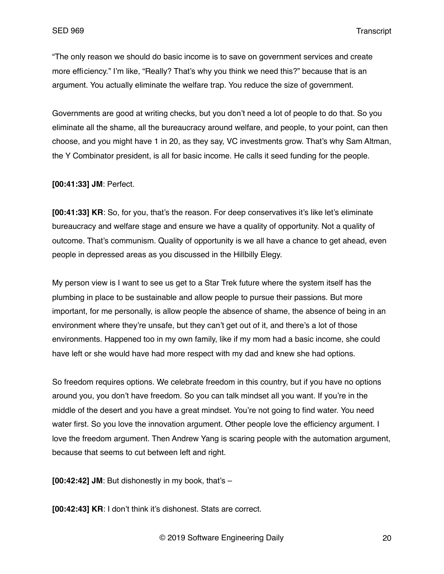"The only reason we should do basic income is to save on government services and create more efficiency." I'm like, "Really? That's why you think we need this?" because that is an argument. You actually eliminate the welfare trap. You reduce the size of government.

Governments are good at writing checks, but you don't need a lot of people to do that. So you eliminate all the shame, all the bureaucracy around welfare, and people, to your point, can then choose, and you might have 1 in 20, as they say, VC investments grow. That's why Sam Altman, the Y Combinator president, is all for basic income. He calls it seed funding for the people.

**[00:41:33] JM**: Perfect.

**[00:41:33] KR**: So, for you, that's the reason. For deep conservatives it's like let's eliminate bureaucracy and welfare stage and ensure we have a quality of opportunity. Not a quality of outcome. That's communism. Quality of opportunity is we all have a chance to get ahead, even people in depressed areas as you discussed in the Hillbilly Elegy.

My person view is I want to see us get to a Star Trek future where the system itself has the plumbing in place to be sustainable and allow people to pursue their passions. But more important, for me personally, is allow people the absence of shame, the absence of being in an environment where they're unsafe, but they can't get out of it, and there's a lot of those environments. Happened too in my own family, like if my mom had a basic income, she could have left or she would have had more respect with my dad and knew she had options.

So freedom requires options. We celebrate freedom in this country, but if you have no options around you, you don't have freedom. So you can talk mindset all you want. If you're in the middle of the desert and you have a great mindset. You're not going to find water. You need water first. So you love the innovation argument. Other people love the efficiency argument. I love the freedom argument. Then Andrew Yang is scaring people with the automation argument, because that seems to cut between left and right.

**[00:42:42] JM**: But dishonestly in my book, that's –

**[00:42:43] KR**: I don't think it's dishonest. Stats are correct.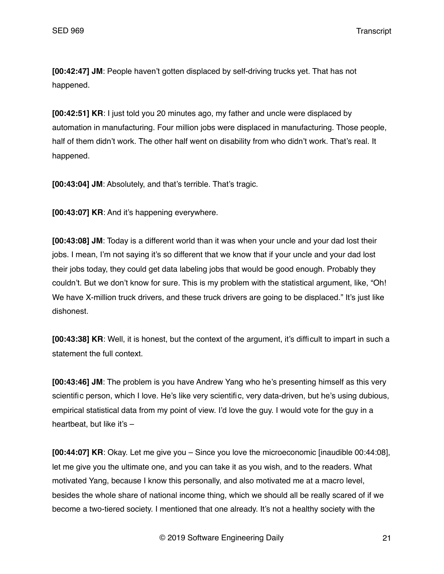**[00:42:47] JM**: People haven't gotten displaced by self-driving trucks yet. That has not happened.

**[00:42:51] KR**: I just told you 20 minutes ago, my father and uncle were displaced by automation in manufacturing. Four million jobs were displaced in manufacturing. Those people, half of them didn't work. The other half went on disability from who didn't work. That's real. It happened.

**[00:43:04] JM**: Absolutely, and that's terrible. That's tragic.

**[00:43:07] KR**: And it's happening everywhere.

**[00:43:08] JM**: Today is a different world than it was when your uncle and your dad lost their jobs. I mean, I'm not saying it's so different that we know that if your uncle and your dad lost their jobs today, they could get data labeling jobs that would be good enough. Probably they couldn't. But we don't know for sure. This is my problem with the statistical argument, like, "Oh! We have X-million truck drivers, and these truck drivers are going to be displaced." It's just like dishonest.

**[00:43:38] KR**: Well, it is honest, but the context of the argument, it's difficult to impart in such a statement the full context.

**[00:43:46] JM**: The problem is you have Andrew Yang who he's presenting himself as this very scientific person, which I love. He's like very scientific, very data-driven, but he's using dubious, empirical statistical data from my point of view. I'd love the guy. I would vote for the guy in a heartbeat, but like it's –

**[00:44:07] KR**: Okay. Let me give you – Since you love the microeconomic [inaudible 00:44:08], let me give you the ultimate one, and you can take it as you wish, and to the readers. What motivated Yang, because I know this personally, and also motivated me at a macro level, besides the whole share of national income thing, which we should all be really scared of if we become a two-tiered society. I mentioned that one already. It's not a healthy society with the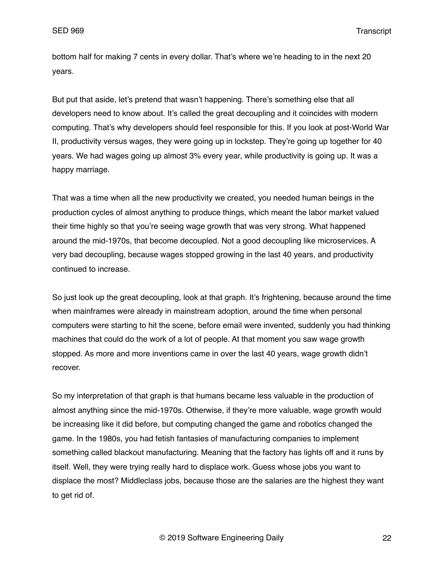bottom half for making 7 cents in every dollar. That's where we're heading to in the next 20 years.

But put that aside, let's pretend that wasn't happening. There's something else that all developers need to know about. It's called the great decoupling and it coincides with modern computing. That's why developers should feel responsible for this. If you look at post-World War II, productivity versus wages, they were going up in lockstep. They're going up together for 40 years. We had wages going up almost 3% every year, while productivity is going up. It was a happy marriage.

That was a time when all the new productivity we created, you needed human beings in the production cycles of almost anything to produce things, which meant the labor market valued their time highly so that you're seeing wage growth that was very strong. What happened around the mid-1970s, that become decoupled. Not a good decoupling like microservices. A very bad decoupling, because wages stopped growing in the last 40 years, and productivity continued to increase.

So just look up the great decoupling, look at that graph. It's frightening, because around the time when mainframes were already in mainstream adoption, around the time when personal computers were starting to hit the scene, before email were invented, suddenly you had thinking machines that could do the work of a lot of people. At that moment you saw wage growth stopped. As more and more inventions came in over the last 40 years, wage growth didn't recover.

So my interpretation of that graph is that humans became less valuable in the production of almost anything since the mid-1970s. Otherwise, if they're more valuable, wage growth would be increasing like it did before, but computing changed the game and robotics changed the game. In the 1980s, you had fetish fantasies of manufacturing companies to implement something called blackout manufacturing. Meaning that the factory has lights off and it runs by itself. Well, they were trying really hard to displace work. Guess whose jobs you want to displace the most? Middleclass jobs, because those are the salaries are the highest they want to get rid of.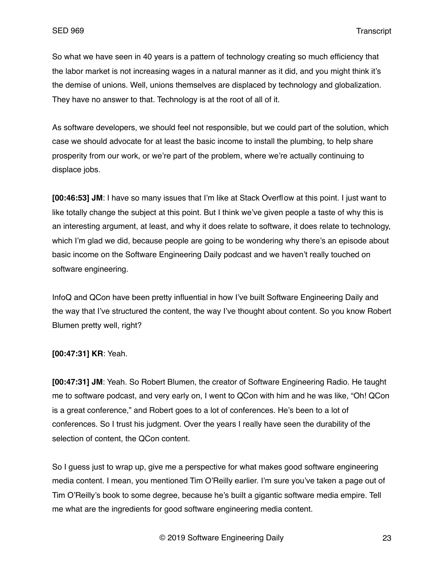So what we have seen in 40 years is a pattern of technology creating so much efficiency that the labor market is not increasing wages in a natural manner as it did, and you might think it's the demise of unions. Well, unions themselves are displaced by technology and globalization. They have no answer to that. Technology is at the root of all of it.

As software developers, we should feel not responsible, but we could part of the solution, which case we should advocate for at least the basic income to install the plumbing, to help share prosperity from our work, or we're part of the problem, where we're actually continuing to displace jobs.

**[00:46:53] JM**: I have so many issues that I'm like at Stack Overflow at this point. I just want to like totally change the subject at this point. But I think we've given people a taste of why this is an interesting argument, at least, and why it does relate to software, it does relate to technology, which I'm glad we did, because people are going to be wondering why there's an episode about basic income on the Software Engineering Daily podcast and we haven't really touched on software engineering.

InfoQ and QCon have been pretty influential in how I've built Software Engineering Daily and the way that I've structured the content, the way I've thought about content. So you know Robert Blumen pretty well, right?

#### **[00:47:31] KR**: Yeah.

**[00:47:31] JM**: Yeah. So Robert Blumen, the creator of Software Engineering Radio. He taught me to software podcast, and very early on, I went to QCon with him and he was like, "Oh! QCon is a great conference," and Robert goes to a lot of conferences. He's been to a lot of conferences. So I trust his judgment. Over the years I really have seen the durability of the selection of content, the QCon content.

So I guess just to wrap up, give me a perspective for what makes good software engineering media content. I mean, you mentioned Tim O'Reilly earlier. I'm sure you've taken a page out of Tim O'Reilly's book to some degree, because he's built a gigantic software media empire. Tell me what are the ingredients for good software engineering media content.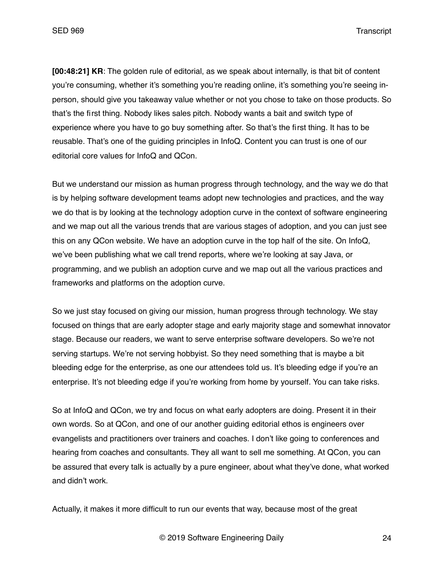**[00:48:21] KR**: The golden rule of editorial, as we speak about internally, is that bit of content you're consuming, whether it's something you're reading online, it's something you're seeing inperson, should give you takeaway value whether or not you chose to take on those products. So that's the first thing. Nobody likes sales pitch. Nobody wants a bait and switch type of experience where you have to go buy something after. So that's the first thing. It has to be reusable. That's one of the guiding principles in InfoQ. Content you can trust is one of our editorial core values for InfoQ and QCon.

But we understand our mission as human progress through technology, and the way we do that is by helping software development teams adopt new technologies and practices, and the way we do that is by looking at the technology adoption curve in the context of software engineering and we map out all the various trends that are various stages of adoption, and you can just see this on any QCon website. We have an adoption curve in the top half of the site. On InfoQ, we've been publishing what we call trend reports, where we're looking at say Java, or programming, and we publish an adoption curve and we map out all the various practices and frameworks and platforms on the adoption curve.

So we just stay focused on giving our mission, human progress through technology. We stay focused on things that are early adopter stage and early majority stage and somewhat innovator stage. Because our readers, we want to serve enterprise software developers. So we're not serving startups. We're not serving hobbyist. So they need something that is maybe a bit bleeding edge for the enterprise, as one our attendees told us. It's bleeding edge if you're an enterprise. It's not bleeding edge if you're working from home by yourself. You can take risks.

So at InfoQ and QCon, we try and focus on what early adopters are doing. Present it in their own words. So at QCon, and one of our another guiding editorial ethos is engineers over evangelists and practitioners over trainers and coaches. I don't like going to conferences and hearing from coaches and consultants. They all want to sell me something. At QCon, you can be assured that every talk is actually by a pure engineer, about what they've done, what worked and didn't work.

Actually, it makes it more difficult to run our events that way, because most of the great

© 2019 Software Engineering Daily 24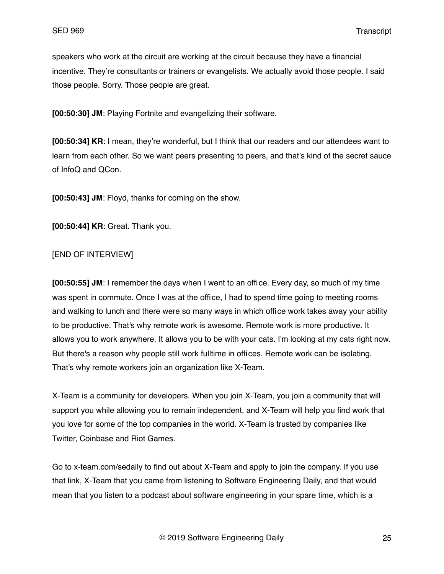speakers who work at the circuit are working at the circuit because they have a financial incentive. They're consultants or trainers or evangelists. We actually avoid those people. I said those people. Sorry. Those people are great.

**[00:50:30] JM**: Playing Fortnite and evangelizing their software.

**[00:50:34] KR**: I mean, they're wonderful, but I think that our readers and our attendees want to learn from each other. So we want peers presenting to peers, and that's kind of the secret sauce of InfoQ and QCon.

**[00:50:43] JM**: Floyd, thanks for coming on the show.

**[00:50:44] KR**: Great. Thank you.

## [END OF INTERVIEW]

**[00:50:55] JM**: I remember the days when I went to an office. Every day, so much of my time was spent in commute. Once I was at the office, I had to spend time going to meeting rooms and walking to lunch and there were so many ways in which office work takes away your ability to be productive. That's why remote work is awesome. Remote work is more productive. It allows you to work anywhere. It allows you to be with your cats. I'm looking at my cats right now. But there's a reason why people still work fulltime in offices. Remote work can be isolating. That's why remote workers join an organization like X-Team.

X-Team is a community for developers. When you join X-Team, you join a community that will support you while allowing you to remain independent, and X-Team will help you find work that you love for some of the top companies in the world. X-Team is trusted by companies like Twitter, Coinbase and Riot Games.

Go to x-team.com/sedaily to find out about X-Team and apply to join the company. If you use that link, X-Team that you came from listening to Software Engineering Daily, and that would mean that you listen to a podcast about software engineering in your spare time, which is a